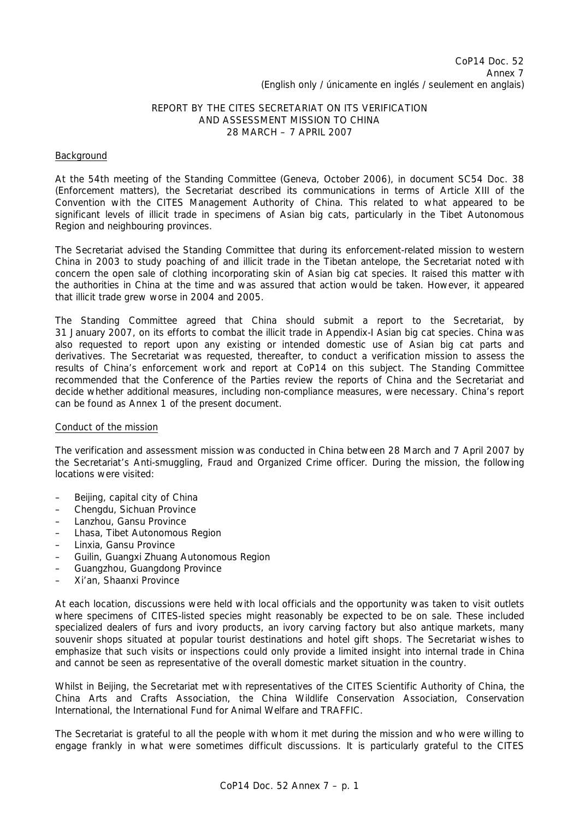# REPORT BY THE CITES SECRETARIAT ON ITS VERIFICATION AND ASSESSMENT MISSION TO CHINA 28 MARCH – 7 APRIL 2007

# Background

At the 54th meeting of the Standing Committee (Geneva, October 2006), in document SC54 Doc. 38 (Enforcement matters), the Secretariat described its communications in terms of Article XIII of the Convention with the CITES Management Authority of China. This related to what appeared to be significant levels of illicit trade in specimens of Asian big cats, particularly in the Tibet Autonomous Region and neighbouring provinces.

The Secretariat advised the Standing Committee that during its enforcement-related mission to western China in 2003 to study poaching of and illicit trade in the Tibetan antelope, the Secretariat noted with concern the open sale of clothing incorporating skin of Asian big cat species. It raised this matter with the authorities in China at the time and was assured that action would be taken. However, it appeared that illicit trade grew worse in 2004 and 2005.

The Standing Committee agreed that China should submit a report to the Secretariat, by 31 January 2007, on its efforts to combat the illicit trade in Appendix-I Asian big cat species. China was also requested to report upon any existing or intended domestic use of Asian big cat parts and derivatives. The Secretariat was requested, thereafter, to conduct a verification mission to assess the results of China's enforcement work and report at CoP14 on this subject. The Standing Committee recommended that the Conference of the Parties review the reports of China and the Secretariat and decide whether additional measures, including non-compliance measures, were necessary. China's report can be found as Annex 1 of the present document.

# Conduct of the mission

The verification and assessment mission was conducted in China between 28 March and 7 April 2007 by the Secretariat's Anti-smuggling, Fraud and Organized Crime officer. During the mission, the following locations were visited:

- Beijing, capital city of China
- Chengdu, Sichuan Province
- Lanzhou, Gansu Province
- Lhasa, Tibet Autonomous Region
- Linxia, Gansu Province
- Guilin, Guangxi Zhuang Autonomous Region
- Guangzhou, Guangdong Province
- Xi'an, Shaanxi Province

At each location, discussions were held with local officials and the opportunity was taken to visit outlets where specimens of CITES-listed species might reasonably be expected to be on sale. These included specialized dealers of furs and ivory products, an ivory carving factory but also antique markets, many souvenir shops situated at popular tourist destinations and hotel gift shops. The Secretariat wishes to emphasize that such visits or inspections could only provide a limited insight into internal trade in China and cannot be seen as representative of the overall domestic market situation in the country.

Whilst in Beijing, the Secretariat met with representatives of the CITES Scientific Authority of China, the China Arts and Crafts Association, the China Wildlife Conservation Association, Conservation International, the International Fund for Animal Welfare and TRAFFIC.

The Secretariat is grateful to all the people with whom it met during the mission and who were willing to engage frankly in what were sometimes difficult discussions. It is particularly grateful to the CITES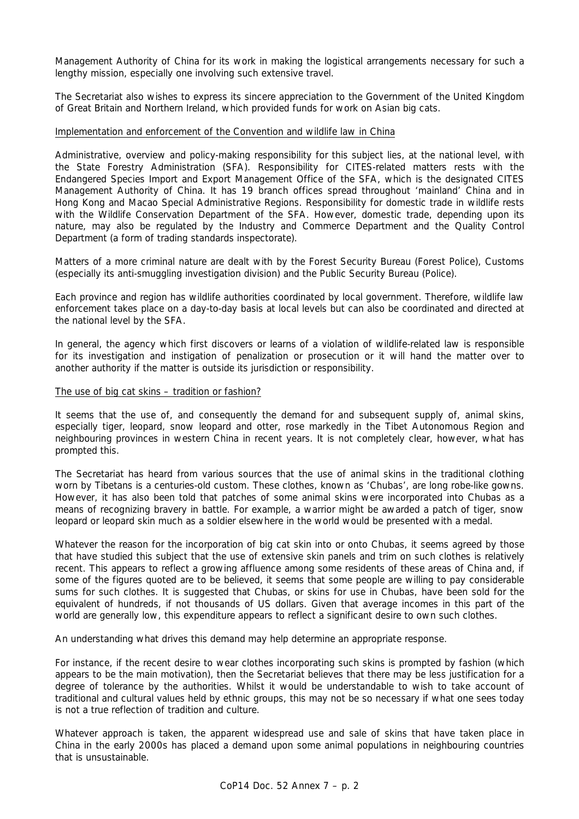Management Authority of China for its work in making the logistical arrangements necessary for such a lengthy mission, especially one involving such extensive travel.

The Secretariat also wishes to express its sincere appreciation to the Government of the United Kingdom of Great Britain and Northern Ireland, which provided funds for work on Asian big cats.

## Implementation and enforcement of the Convention and wildlife law in China

Administrative, overview and policy-making responsibility for this subject lies, at the national level, with the State Forestry Administration (SFA). Responsibility for CITES-related matters rests with the Endangered Species Import and Export Management Office of the SFA, which is the designated CITES Management Authority of China. It has 19 branch offices spread throughout 'mainland' China and in Hong Kong and Macao Special Administrative Regions. Responsibility for domestic trade in wildlife rests with the Wildlife Conservation Department of the SFA. However, domestic trade, depending upon its nature, may also be regulated by the Industry and Commerce Department and the Quality Control Department (a form of trading standards inspectorate).

Matters of a more criminal nature are dealt with by the Forest Security Bureau (Forest Police), Customs (especially its anti-smuggling investigation division) and the Public Security Bureau (Police).

Each province and region has wildlife authorities coordinated by local government. Therefore, wildlife law enforcement takes place on a day-to-day basis at local levels but can also be coordinated and directed at the national level by the SFA.

In general, the agency which first discovers or learns of a violation of wildlife-related law is responsible for its investigation and instigation of penalization or prosecution or it will hand the matter over to another authority if the matter is outside its jurisdiction or responsibility.

### The use of big cat skins – tradition or fashion?

It seems that the use of, and consequently the demand for and subsequent supply of, animal skins, especially tiger, leopard, snow leopard and otter, rose markedly in the Tibet Autonomous Region and neighbouring provinces in western China in recent years. It is not completely clear, however, what has prompted this.

The Secretariat has heard from various sources that the use of animal skins in the traditional clothing worn by Tibetans is a centuries-old custom. These clothes, known as 'Chubas', are long robe-like gowns. However, it has also been told that patches of some animal skins were incorporated into Chubas as a means of recognizing bravery in battle. For example, a warrior might be awarded a patch of tiger, snow leopard or leopard skin much as a soldier elsewhere in the world would be presented with a medal.

Whatever the reason for the incorporation of big cat skin into or onto Chubas, it seems agreed by those that have studied this subject that the use of extensive skin panels and trim on such clothes is relatively recent. This appears to reflect a growing affluence among some residents of these areas of China and, if some of the figures quoted are to be believed, it seems that some people are willing to pay considerable sums for such clothes. It is suggested that Chubas, or skins for use in Chubas, have been sold for the equivalent of hundreds, if not thousands of US dollars. Given that average incomes in this part of the world are generally low, this expenditure appears to reflect a significant desire to own such clothes.

An understanding what drives this demand may help determine an appropriate response.

For instance, if the recent desire to wear clothes incorporating such skins is prompted by fashion (which appears to be the main motivation), then the Secretariat believes that there may be less justification for a degree of tolerance by the authorities. Whilst it would be understandable to wish to take account of traditional and cultural values held by ethnic groups, this may not be so necessary if what one sees today is not a true reflection of tradition and culture.

Whatever approach is taken, the apparent widespread use and sale of skins that have taken place in China in the early 2000s has placed a demand upon some animal populations in neighbouring countries that is unsustainable.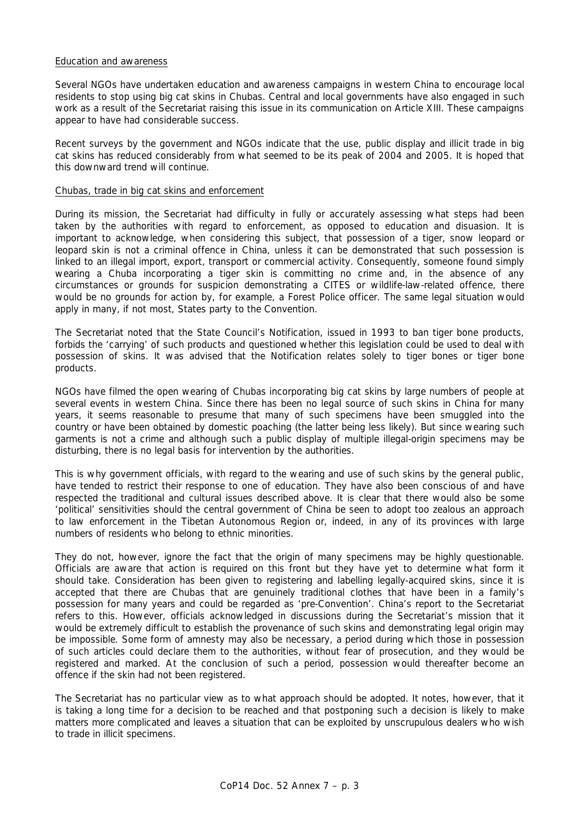## Education and awareness

Several NGOs have undertaken education and awareness campaigns in western China to encourage local residents to stop using big cat skins in Chubas. Central and local governments have also engaged in such work as a result of the Secretariat raising this issue in its communication on Article XIII. These campaigns appear to have had considerable success.

Recent surveys by the government and NGOs indicate that the use, public display and illicit trade in big cat skins has reduced considerably from what seemed to be its peak of 2004 and 2005. It is hoped that this downward trend will continue.

## Chubas, trade in big cat skins and enforcement

During its mission, the Secretariat had difficulty in fully or accurately assessing what steps had been taken by the authorities with regard to enforcement, as opposed to education and disuasion. It is important to acknowledge, when considering this subject, that possession of a tiger, snow leopard or leopard skin is not a criminal offence in China, unless it can be demonstrated that such possession is linked to an illegal import, export, transport or commercial activity. Consequently, someone found simply wearing a Chuba incorporating a tiger skin is committing no crime and, in the absence of any circumstances or grounds for suspicion demonstrating a CITES or wildlife-law-related offence, there would be no grounds for action by, for example, a Forest Police officer. The same legal situation would apply in many, if not most, States party to the Convention.

The Secretariat noted that the State Council's Notification, issued in 1993 to ban tiger bone products, forbids the 'carrying' of such products and questioned whether this legislation could be used to deal with possession of skins. It was advised that the Notification relates solely to tiger bones or tiger bone products.

NGOs have filmed the open wearing of Chubas incorporating big cat skins by large numbers of people at several events in western China. Since there has been no legal source of such skins in China for many years, it seems reasonable to presume that many of such specimens have been smuggled into the country or have been obtained by domestic poaching (the latter being less likely). But since wearing such garments is not a crime and although such a public display of multiple illegal-origin specimens may be disturbing, there is no legal basis for intervention by the authorities.

This is why government officials, with regard to the wearing and use of such skins by the general public, have tended to restrict their response to one of education. They have also been conscious of and have respected the traditional and cultural issues described above. It is clear that there would also be some 'political' sensitivities should the central government of China be seen to adopt too zealous an approach to law enforcement in the Tibetan Autonomous Region or, indeed, in any of its provinces with large numbers of residents who belong to ethnic minorities.

They do not, however, ignore the fact that the origin of many specimens may be highly questionable. Officials are aware that action is required on this front but they have yet to determine what form it should take. Consideration has been given to registering and labelling legally-acquired skins, since it is accepted that there are Chubas that are genuinely traditional clothes that have been in a family's possession for many years and could be regarded as 'pre-Convention'. China's report to the Secretariat refers to this. However, officials acknowledged in discussions during the Secretariat's mission that it would be extremely difficult to establish the provenance of such skins and demonstrating legal origin may be impossible. Some form of amnesty may also be necessary, a period during which those in possession of such articles could declare them to the authorities, without fear of prosecution, and they would be registered and marked. At the conclusion of such a period, possession would thereafter become an offence if the skin had not been registered.

The Secretariat has no particular view as to what approach should be adopted. It notes, however, that it is taking a long time for a decision to be reached and that postponing such a decision is likely to make matters more complicated and leaves a situation that can be exploited by unscrupulous dealers who wish to trade in illicit specimens.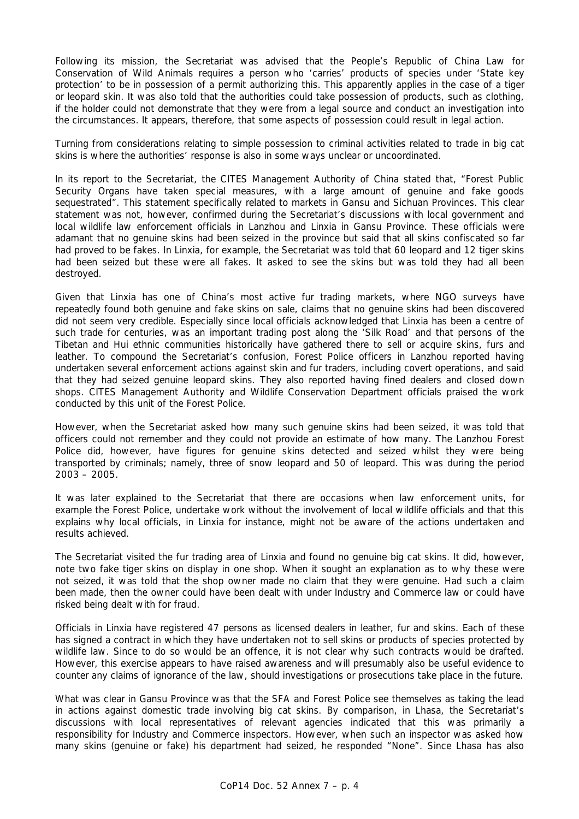Following its mission, the Secretariat was advised that the People's Republic of China Law for Conservation of Wild Animals requires a person who 'carries' products of species under 'State key protection' to be in possession of a permit authorizing this. This apparently applies in the case of a tiger or leopard skin. It was also told that the authorities could take possession of products, such as clothing, if the holder could not demonstrate that they were from a legal source and conduct an investigation into the circumstances. It appears, therefore, that some aspects of possession could result in legal action.

Turning from considerations relating to simple possession to criminal activities related to trade in big cat skins is where the authorities' response is also in some ways unclear or uncoordinated.

In its report to the Secretariat, the CITES Management Authority of China stated that, "Forest Public Security Organs have taken special measures, with a large amount of genuine and fake goods sequestrated". This statement specifically related to markets in Gansu and Sichuan Provinces. This clear statement was not, however, confirmed during the Secretariat's discussions with local government and local wildlife law enforcement officials in Lanzhou and Linxia in Gansu Province. These officials were adamant that no genuine skins had been seized in the province but said that all skins confiscated so far had proved to be fakes. In Linxia, for example, the Secretariat was told that 60 leopard and 12 tiger skins had been seized but these were all fakes. It asked to see the skins but was told they had all been destroyed.

Given that Linxia has one of China's most active fur trading markets, where NGO surveys have repeatedly found both genuine and fake skins on sale, claims that no genuine skins had been discovered did not seem very credible. Especially since local officials acknowledged that Linxia has been a centre of such trade for centuries, was an important trading post along the 'Silk Road' and that persons of the Tibetan and Hui ethnic communities historically have gathered there to sell or acquire skins, furs and leather. To compound the Secretariat's confusion, Forest Police officers in Lanzhou reported having undertaken several enforcement actions against skin and fur traders, including covert operations, and said that they had seized genuine leopard skins. They also reported having fined dealers and closed down shops. CITES Management Authority and Wildlife Conservation Department officials praised the work conducted by this unit of the Forest Police.

However, when the Secretariat asked how many such genuine skins had been seized, it was told that officers could not remember and they could not provide an estimate of how many. The Lanzhou Forest Police did, however, have figures for genuine skins detected and seized whilst they were being transported by criminals; namely, three of snow leopard and 50 of leopard. This was during the period 2003 – 2005.

It was later explained to the Secretariat that there are occasions when law enforcement units, for example the Forest Police, undertake work without the involvement of local wildlife officials and that this explains why local officials, in Linxia for instance, might not be aware of the actions undertaken and results achieved.

The Secretariat visited the fur trading area of Linxia and found no genuine big cat skins. It did, however, note two fake tiger skins on display in one shop. When it sought an explanation as to why these were not seized, it was told that the shop owner made no claim that they were genuine. Had such a claim been made, then the owner could have been dealt with under Industry and Commerce law or could have risked being dealt with for fraud.

Officials in Linxia have registered 47 persons as licensed dealers in leather, fur and skins. Each of these has signed a contract in which they have undertaken not to sell skins or products of species protected by wildlife law. Since to do so would be an offence, it is not clear why such contracts would be drafted. However, this exercise appears to have raised awareness and will presumably also be useful evidence to counter any claims of ignorance of the law, should investigations or prosecutions take place in the future.

What was clear in Gansu Province was that the SFA and Forest Police see themselves as taking the lead in actions against domestic trade involving big cat skins. By comparison, in Lhasa, the Secretariat's discussions with local representatives of relevant agencies indicated that this was primarily a responsibility for Industry and Commerce inspectors. However, when such an inspector was asked how many skins (genuine or fake) his department had seized, he responded "None". Since Lhasa has also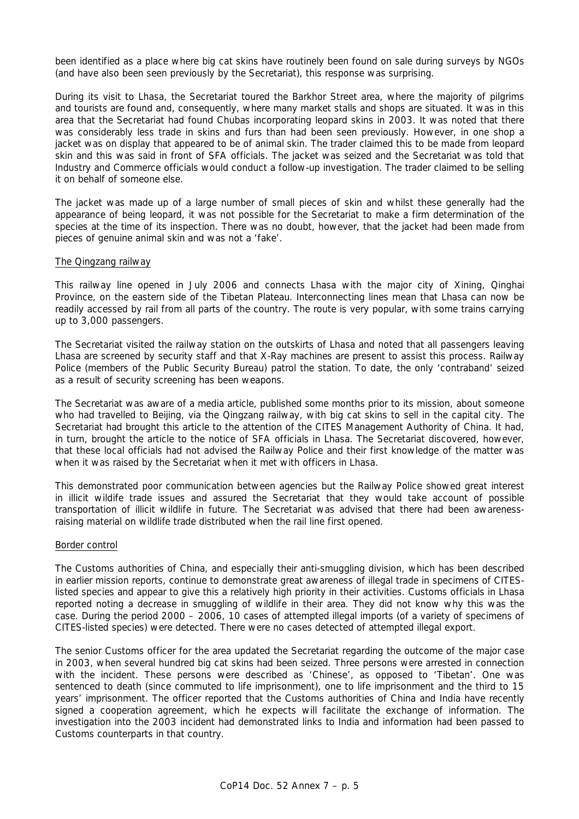been identified as a place where big cat skins have routinely been found on sale during surveys by NGOs (and have also been seen previously by the Secretariat), this response was surprising.

During its visit to Lhasa, the Secretariat toured the Barkhor Street area, where the majority of pilgrims and tourists are found and, consequently, where many market stalls and shops are situated. It was in this area that the Secretariat had found Chubas incorporating leopard skins in 2003. It was noted that there was considerably less trade in skins and furs than had been seen previously. However, in one shop a jacket was on display that appeared to be of animal skin. The trader claimed this to be made from leopard skin and this was said in front of SFA officials. The jacket was seized and the Secretariat was told that Industry and Commerce officials would conduct a follow-up investigation. The trader claimed to be selling it on behalf of someone else.

The jacket was made up of a large number of small pieces of skin and whilst these generally had the appearance of being leopard, it was not possible for the Secretariat to make a firm determination of the species at the time of its inspection. There was no doubt, however, that the jacket had been made from pieces of genuine animal skin and was not a 'fake'.

### The Qingzang railway

This railway line opened in July 2006 and connects Lhasa with the major city of Xining, Qinghai Province, on the eastern side of the Tibetan Plateau. Interconnecting lines mean that Lhasa can now be readily accessed by rail from all parts of the country. The route is very popular, with some trains carrying up to 3,000 passengers.

The Secretariat visited the railway station on the outskirts of Lhasa and noted that all passengers leaving Lhasa are screened by security staff and that X-Ray machines are present to assist this process. Railway Police (members of the Public Security Bureau) patrol the station. To date, the only 'contraband' seized as a result of security screening has been weapons.

The Secretariat was aware of a media article, published some months prior to its mission, about someone who had travelled to Beijing, via the Qingzang railway, with big cat skins to sell in the capital city. The Secretariat had brought this article to the attention of the CITES Management Authority of China. It had, in turn, brought the article to the notice of SFA officials in Lhasa. The Secretariat discovered, however, that these local officials had not advised the Railway Police and their first knowledge of the matter was when it was raised by the Secretariat when it met with officers in Lhasa.

This demonstrated poor communication between agencies but the Railway Police showed great interest in illicit wildife trade issues and assured the Secretariat that they would take account of possible transportation of illicit wildlife in future. The Secretariat was advised that there had been awarenessraising material on wildlife trade distributed when the rail line first opened.

### Border control

The Customs authorities of China, and especially their anti-smuggling division, which has been described in earlier mission reports, continue to demonstrate great awareness of illegal trade in specimens of CITESlisted species and appear to give this a relatively high priority in their activities. Customs officials in Lhasa reported noting a decrease in smuggling of wildlife in their area. They did not know why this was the case. During the period 2000 – 2006, 10 cases of attempted illegal imports (of a variety of specimens of CITES-listed species) were detected. There were no cases detected of attempted illegal export.

The senior Customs officer for the area updated the Secretariat regarding the outcome of the major case in 2003, when several hundred big cat skins had been seized. Three persons were arrested in connection with the incident. These persons were described as 'Chinese', as opposed to 'Tibetan'. One was sentenced to death (since commuted to life imprisonment), one to life imprisonment and the third to 15 years' imprisonment. The officer reported that the Customs authorities of China and India have recently signed a cooperation agreement, which he expects will facilitate the exchange of information. The investigation into the 2003 incident had demonstrated links to India and information had been passed to Customs counterparts in that country.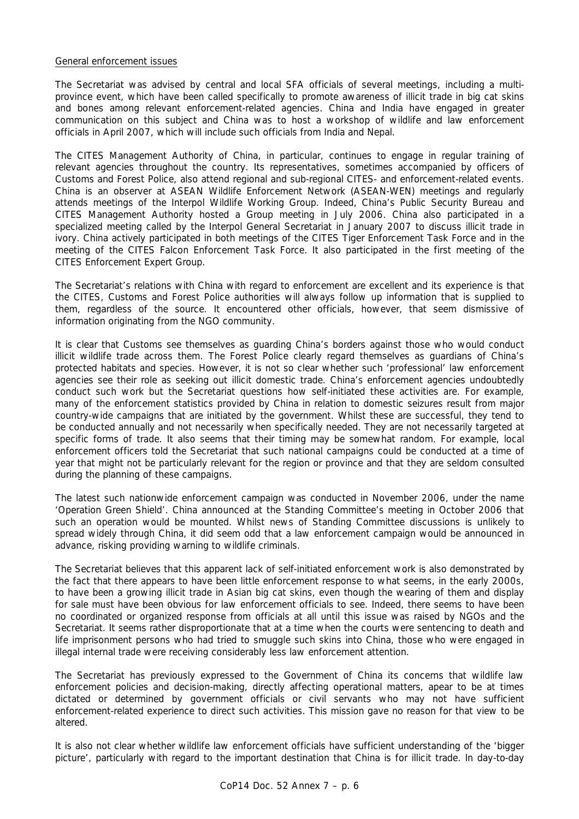## General enforcement issues

The Secretariat was advised by central and local SFA officials of several meetings, including a multiprovince event, which have been called specifically to promote awareness of illicit trade in big cat skins and bones among relevant enforcement-related agencies. China and India have engaged in greater communication on this subject and China was to host a workshop of wildlife and law enforcement officials in April 2007, which will include such officials from India and Nepal.

The CITES Management Authority of China, in particular, continues to engage in regular training of relevant agencies throughout the country. Its representatives, sometimes accompanied by officers of Customs and Forest Police, also attend regional and sub-regional CITES- and enforcement-related events. China is an observer at ASEAN Wildlife Enforcement Network (ASEAN-WEN) meetings and regularly attends meetings of the Interpol Wildlife Working Group. Indeed, China's Public Security Bureau and CITES Management Authority hosted a Group meeting in July 2006. China also participated in a specialized meeting called by the Interpol General Secretariat in January 2007 to discuss illicit trade in ivory. China actively participated in both meetings of the CITES Tiger Enforcement Task Force and in the meeting of the CITES Falcon Enforcement Task Force. It also participated in the first meeting of the CITES Enforcement Expert Group.

The Secretariat's relations with China with regard to enforcement are excellent and its experience is that the CITES, Customs and Forest Police authorities will always follow up information that is supplied to them, regardless of the source. It encountered other officials, however, that seem dismissive of information originating from the NGO community.

It is clear that Customs see themselves as guarding China's borders against those who would conduct illicit wildlife trade across them. The Forest Police clearly regard themselves as guardians of China's protected habitats and species. However, it is not so clear whether such 'professional' law enforcement agencies see their role as seeking out illicit domestic trade. China's enforcement agencies undoubtedly conduct such work but the Secretariat questions how self-initiated these activities are. For example, many of the enforcement statistics provided by China in relation to domestic seizures result from major country-wide campaigns that are initiated by the government. Whilst these are successful, they tend to be conducted annually and not necessarily when specifically needed. They are not necessarily targeted at specific forms of trade. It also seems that their timing may be somewhat random. For example, local enforcement officers told the Secretariat that such national campaigns could be conducted at a time of year that might not be particularly relevant for the region or province and that they are seldom consulted during the planning of these campaigns.

The latest such nationwide enforcement campaign was conducted in November 2006, under the name 'Operation Green Shield'. China announced at the Standing Committee's meeting in October 2006 that such an operation would be mounted. Whilst news of Standing Committee discussions is unlikely to spread widely through China, it did seem odd that a law enforcement campaign would be announced in advance, risking providing warning to wildlife criminals.

The Secretariat believes that this apparent lack of self-initiated enforcement work is also demonstrated by the fact that there appears to have been little enforcement response to what seems, in the early 2000s, to have been a growing illicit trade in Asian big cat skins, even though the wearing of them and display for sale must have been obvious for law enforcement officials to see. Indeed, there seems to have been no coordinated or organized response from officials at all until this issue was raised by NGOs and the Secretariat. It seems rather disproportionate that at a time when the courts were sentencing to death and life imprisonment persons who had tried to smuggle such skins into China, those who were engaged in illegal internal trade were receiving considerably less law enforcement attention.

The Secretariat has previously expressed to the Government of China its concerns that wildlife law enforcement policies and decision-making, directly affecting operational matters, apear to be at times dictated or determined by government officials or civil servants who may not have sufficient enforcement-related experience to direct such activities. This mission gave no reason for that view to be altered.

It is also not clear whether wildlife law enforcement officials have sufficient understanding of the 'bigger picture', particularly with regard to the important destination that China is for illicit trade. In day-to-day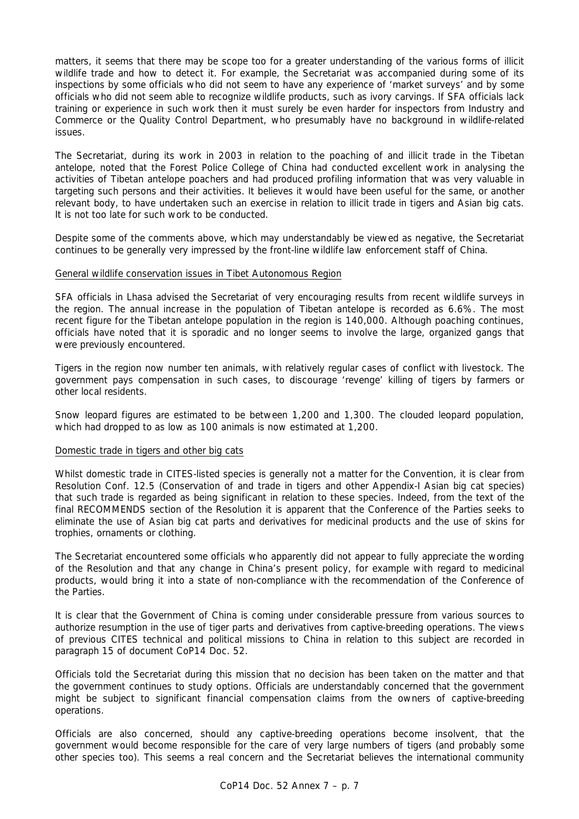matters, it seems that there may be scope too for a greater understanding of the various forms of illicit wildlife trade and how to detect it. For example, the Secretariat was accompanied during some of its inspections by some officials who did not seem to have any experience of 'market surveys' and by some officials who did not seem able to recognize wildlife products, such as ivory carvings. If SFA officials lack training or experience in such work then it must surely be even harder for inspectors from Industry and Commerce or the Quality Control Department, who presumably have no background in wildlife-related issues.

The Secretariat, during its work in 2003 in relation to the poaching of and illicit trade in the Tibetan antelope, noted that the Forest Police College of China had conducted excellent work in analysing the activities of Tibetan antelope poachers and had produced profiling information that was very valuable in targeting such persons and their activities. It believes it would have been useful for the same, or another relevant body, to have undertaken such an exercise in relation to illicit trade in tigers and Asian big cats. It is not too late for such work to be conducted.

Despite some of the comments above, which may understandably be viewed as negative, the Secretariat continues to be generally very impressed by the front-line wildlife law enforcement staff of China.

## General wildlife conservation issues in Tibet Autonomous Region

SFA officials in Lhasa advised the Secretariat of very encouraging results from recent wildlife surveys in the region. The annual increase in the population of Tibetan antelope is recorded as 6.6%. The most recent figure for the Tibetan antelope population in the region is 140,000. Although poaching continues, officials have noted that it is sporadic and no longer seems to involve the large, organized gangs that were previously encountered.

Tigers in the region now number ten animals, with relatively regular cases of conflict with livestock. The government pays compensation in such cases, to discourage 'revenge' killing of tigers by farmers or other local residents.

Snow leopard figures are estimated to be between 1,200 and 1,300. The clouded leopard population, which had dropped to as low as 100 animals is now estimated at 1,200.

### Domestic trade in tigers and other big cats

Whilst domestic trade in CITES-listed species is generally not a matter for the Convention, it is clear from Resolution Conf. 12.5 (Conservation of and trade in tigers and other Appendix-I Asian big cat species) that such trade is regarded as being significant in relation to these species. Indeed, from the text of the final RECOMMENDS section of the Resolution it is apparent that the Conference of the Parties seeks to eliminate the use of Asian big cat parts and derivatives for medicinal products and the use of skins for trophies, ornaments or clothing.

The Secretariat encountered some officials who apparently did not appear to fully appreciate the wording of the Resolution and that any change in China's present policy, for example with regard to medicinal products, would bring it into a state of non-compliance with the recommendation of the Conference of the Parties.

It is clear that the Government of China is coming under considerable pressure from various sources to authorize resumption in the use of tiger parts and derivatives from captive-breeding operations. The views of previous CITES technical and political missions to China in relation to this subject are recorded in paragraph 15 of document CoP14 Doc. 52.

Officials told the Secretariat during this mission that no decision has been taken on the matter and that the government continues to study options. Officials are understandably concerned that the government might be subject to significant financial compensation claims from the owners of captive-breeding operations.

Officials are also concerned, should any captive-breeding operations become insolvent, that the government would become responsible for the care of very large numbers of tigers (and probably some other species too). This seems a real concern and the Secretariat believes the international community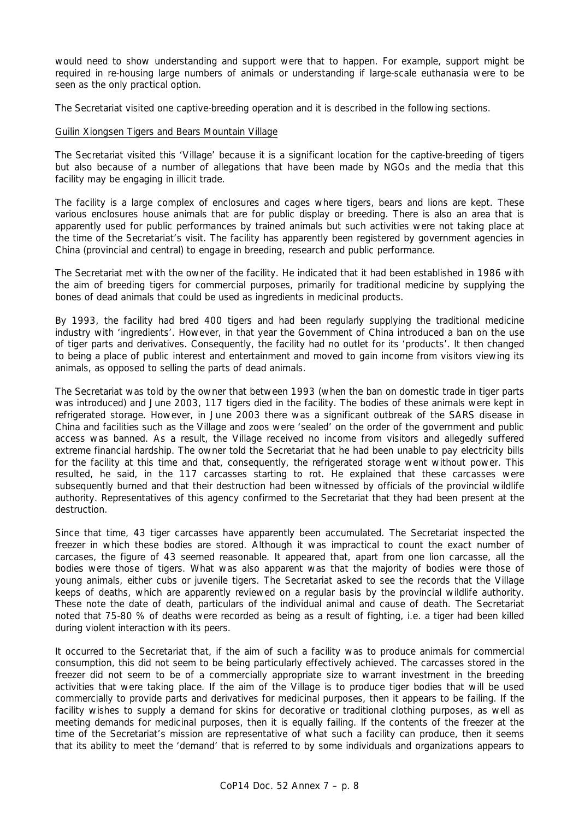would need to show understanding and support were that to happen. For example, support might be required in re-housing large numbers of animals or understanding if large-scale euthanasia were to be seen as the only practical option.

The Secretariat visited one captive-breeding operation and it is described in the following sections.

## Guilin Xiongsen Tigers and Bears Mountain Village

The Secretariat visited this 'Village' because it is a significant location for the captive-breeding of tigers but also because of a number of allegations that have been made by NGOs and the media that this facility may be engaging in illicit trade.

The facility is a large complex of enclosures and cages where tigers, bears and lions are kept. These various enclosures house animals that are for public display or breeding. There is also an area that is apparently used for public performances by trained animals but such activities were not taking place at the time of the Secretariat's visit. The facility has apparently been registered by government agencies in China (provincial and central) to engage in breeding, research and public performance.

The Secretariat met with the owner of the facility. He indicated that it had been established in 1986 with the aim of breeding tigers for commercial purposes, primarily for traditional medicine by supplying the bones of dead animals that could be used as ingredients in medicinal products.

By 1993, the facility had bred 400 tigers and had been regularly supplying the traditional medicine industry with 'ingredients'. However, in that year the Government of China introduced a ban on the use of tiger parts and derivatives. Consequently, the facility had no outlet for its 'products'. It then changed to being a place of public interest and entertainment and moved to gain income from visitors viewing its animals, as opposed to selling the parts of dead animals.

The Secretariat was told by the owner that between 1993 (when the ban on domestic trade in tiger parts was introduced) and June 2003, 117 tigers died in the facility. The bodies of these animals were kept in refrigerated storage. However, in June 2003 there was a significant outbreak of the SARS disease in China and facilities such as the Village and zoos were 'sealed' on the order of the government and public access was banned. As a result, the Village received no income from visitors and allegedly suffered extreme financial hardship. The owner told the Secretariat that he had been unable to pay electricity bills for the facility at this time and that, consequently, the refrigerated storage went without power. This resulted, he said, in the 117 carcasses starting to rot. He explained that these carcasses were subsequently burned and that their destruction had been witnessed by officials of the provincial wildlife authority. Representatives of this agency confirmed to the Secretariat that they had been present at the destruction.

Since that time, 43 tiger carcasses have apparently been accumulated. The Secretariat inspected the freezer in which these bodies are stored. Although it was impractical to count the exact number of carcases, the figure of 43 seemed reasonable. It appeared that, apart from one lion carcasse, all the bodies were those of tigers. What was also apparent was that the majority of bodies were those of young animals, either cubs or juvenile tigers. The Secretariat asked to see the records that the Village keeps of deaths, which are apparently reviewed on a regular basis by the provincial wildlife authority. These note the date of death, particulars of the individual animal and cause of death. The Secretariat noted that 75-80 % of deaths were recorded as being as a result of fighting, i.e. a tiger had been killed during violent interaction with its peers.

It occurred to the Secretariat that, if the aim of such a facility was to produce animals for commercial consumption, this did not seem to be being particularly effectively achieved. The carcasses stored in the freezer did not seem to be of a commercially appropriate size to warrant investment in the breeding activities that were taking place. If the aim of the Village is to produce tiger bodies that will be used commercially to provide parts and derivatives for medicinal purposes, then it appears to be failing. If the facility wishes to supply a demand for skins for decorative or traditional clothing purposes, as well as meeting demands for medicinal purposes, then it is equally failing. If the contents of the freezer at the time of the Secretariat's mission are representative of what such a facility can produce, then it seems that its ability to meet the 'demand' that is referred to by some individuals and organizations appears to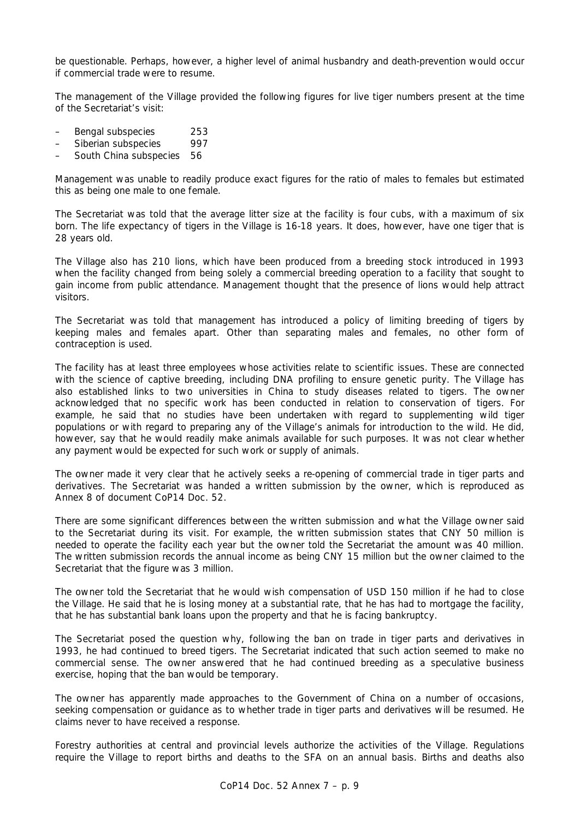be questionable. Perhaps, however, a higher level of animal husbandry and death-prevention would occur if commercial trade were to resume.

The management of the Village provided the following figures for live tiger numbers present at the time of the Secretariat's visit:

- Bengal subspecies 253
- Siberian subspecies 997
- South China subspecies 56

Management was unable to readily produce exact figures for the ratio of males to females but estimated this as being one male to one female.

The Secretariat was told that the average litter size at the facility is four cubs, with a maximum of six born. The life expectancy of tigers in the Village is 16-18 years. It does, however, have one tiger that is 28 years old.

The Village also has 210 lions, which have been produced from a breeding stock introduced in 1993 when the facility changed from being solely a commercial breeding operation to a facility that sought to gain income from public attendance. Management thought that the presence of lions would help attract visitors.

The Secretariat was told that management has introduced a policy of limiting breeding of tigers by keeping males and females apart. Other than separating males and females, no other form of contraception is used.

The facility has at least three employees whose activities relate to scientific issues. These are connected with the science of captive breeding, including DNA profiling to ensure genetic purity. The Village has also established links to two universities in China to study diseases related to tigers. The owner acknowledged that no specific work has been conducted in relation to conservation of tigers. For example, he said that no studies have been undertaken with regard to supplementing wild tiger populations or with regard to preparing any of the Village's animals for introduction to the wild. He did, however, say that he would readily make animals available for such purposes. It was not clear whether any payment would be expected for such work or supply of animals.

The owner made it very clear that he actively seeks a re-opening of commercial trade in tiger parts and derivatives. The Secretariat was handed a written submission by the owner, which is reproduced as Annex 8 of document CoP14 Doc. 52.

There are some significant differences between the written submission and what the Village owner said to the Secretariat during its visit. For example, the written submission states that CNY 50 million is needed to operate the facility each year but the owner told the Secretariat the amount was 40 million. The written submission records the annual income as being CNY 15 million but the owner claimed to the Secretariat that the figure was 3 million.

The owner told the Secretariat that he would wish compensation of USD 150 million if he had to close the Village. He said that he is losing money at a substantial rate, that he has had to mortgage the facility, that he has substantial bank loans upon the property and that he is facing bankruptcy.

The Secretariat posed the question why, following the ban on trade in tiger parts and derivatives in 1993, he had continued to breed tigers. The Secretariat indicated that such action seemed to make no commercial sense. The owner answered that he had continued breeding as a speculative business exercise, hoping that the ban would be temporary.

The owner has apparently made approaches to the Government of China on a number of occasions, seeking compensation or guidance as to whether trade in tiger parts and derivatives will be resumed. He claims never to have received a response.

Forestry authorities at central and provincial levels authorize the activities of the Village. Regulations require the Village to report births and deaths to the SFA on an annual basis. Births and deaths also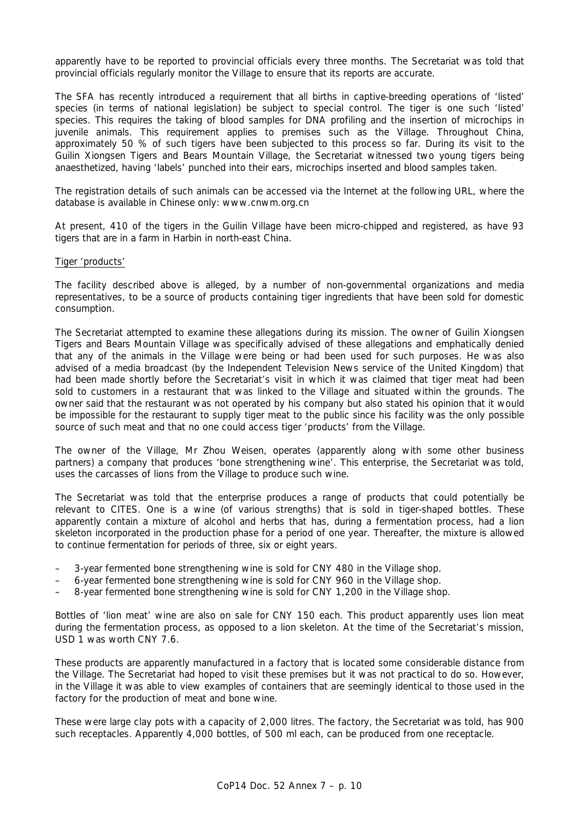apparently have to be reported to provincial officials every three months. The Secretariat was told that provincial officials regularly monitor the Village to ensure that its reports are accurate.

The SFA has recently introduced a requirement that all births in captive-breeding operations of 'listed' species (in terms of national legislation) be subject to special control. The tiger is one such 'listed' species. This requires the taking of blood samples for DNA profiling and the insertion of microchips in juvenile animals. This requirement applies to premises such as the Village. Throughout China, approximately 50 % of such tigers have been subjected to this process so far. During its visit to the Guilin Xiongsen Tigers and Bears Mountain Village, the Secretariat witnessed two young tigers being anaesthetized, having 'labels' punched into their ears, microchips inserted and blood samples taken.

The registration details of such animals can be accessed via the Internet at the following URL, where the database is available in Chinese only: www.cnwm.org.cn

At present, 410 of the tigers in the Guilin Village have been micro-chipped and registered, as have 93 tigers that are in a farm in Harbin in north-east China.

### Tiger 'products'

The facility described above is alleged, by a number of non-governmental organizations and media representatives, to be a source of products containing tiger ingredients that have been sold for domestic consumption.

The Secretariat attempted to examine these allegations during its mission. The owner of Guilin Xiongsen Tigers and Bears Mountain Village was specifically advised of these allegations and emphatically denied that any of the animals in the Village were being or had been used for such purposes. He was also advised of a media broadcast (by the Independent Television News service of the United Kingdom) that had been made shortly before the Secretariat's visit in which it was claimed that tiger meat had been sold to customers in a restaurant that was linked to the Village and situated within the grounds. The owner said that the restaurant was not operated by his company but also stated his opinion that it would be impossible for the restaurant to supply tiger meat to the public since his facility was the only possible source of such meat and that no one could access tiger 'products' from the Village.

The owner of the Village, Mr Zhou Weisen, operates (apparently along with some other business partners) a company that produces 'bone strengthening wine'. This enterprise, the Secretariat was told, uses the carcasses of lions from the Village to produce such wine.

The Secretariat was told that the enterprise produces a range of products that could potentially be relevant to CITES. One is a wine (of various strengths) that is sold in tiger-shaped bottles. These apparently contain a mixture of alcohol and herbs that has, during a fermentation process, had a lion skeleton incorporated in the production phase for a period of one year. Thereafter, the mixture is allowed to continue fermentation for periods of three, six or eight years.

- 3-year fermented bone strengthening wine is sold for CNY 480 in the Village shop.
- 6-year fermented bone strengthening wine is sold for CNY 960 in the Village shop.
- 8-year fermented bone strengthening wine is sold for CNY 1,200 in the Village shop.

Bottles of 'lion meat' wine are also on sale for CNY 150 each. This product apparently uses lion meat during the fermentation process, as opposed to a lion skeleton. At the time of the Secretariat's mission, USD 1 was worth CNY 7.6.

These products are apparently manufactured in a factory that is located some considerable distance from the Village. The Secretariat had hoped to visit these premises but it was not practical to do so. However, in the Village it was able to view examples of containers that are seemingly identical to those used in the factory for the production of meat and bone wine.

These were large clay pots with a capacity of 2,000 litres. The factory, the Secretariat was told, has 900 such receptacles. Apparently 4,000 bottles, of 500 ml each, can be produced from one receptacle.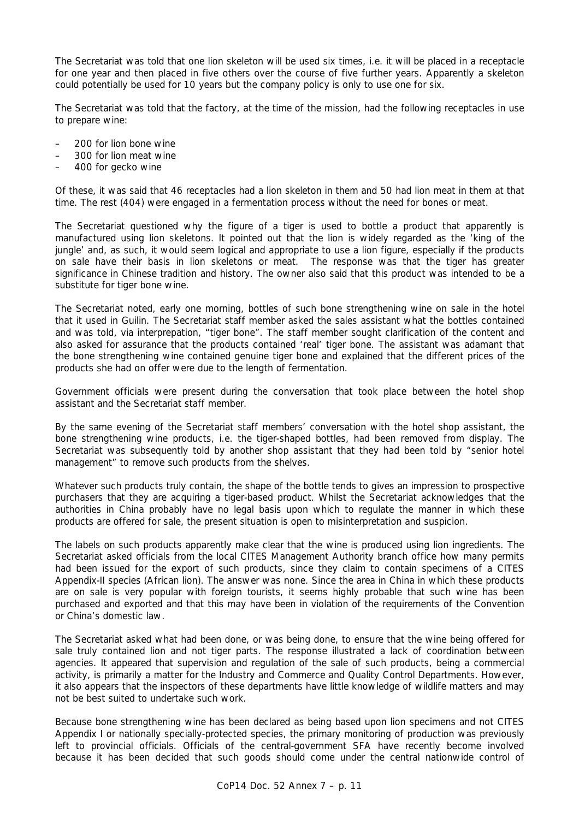The Secretariat was told that one lion skeleton will be used six times, i.e. it will be placed in a receptacle for one year and then placed in five others over the course of five further years. Apparently a skeleton could potentially be used for 10 years but the company policy is only to use one for six.

The Secretariat was told that the factory, at the time of the mission, had the following receptacles in use to prepare wine:

- 200 for lion bone wine
- 300 for lion meat wine
- 400 for gecko wine

Of these, it was said that 46 receptacles had a lion skeleton in them and 50 had lion meat in them at that time. The rest (404) were engaged in a fermentation process without the need for bones or meat.

The Secretariat questioned why the figure of a tiger is used to bottle a product that apparently is manufactured using lion skeletons. It pointed out that the lion is widely regarded as the 'king of the jungle' and, as such, it would seem logical and appropriate to use a lion figure, especially if the products on sale have their basis in lion skeletons or meat. The response was that the tiger has greater significance in Chinese tradition and history. The owner also said that this product was intended to be a substitute for tiger bone wine.

The Secretariat noted, early one morning, bottles of such bone strengthening wine on sale in the hotel that it used in Guilin. The Secretariat staff member asked the sales assistant what the bottles contained and was told, via interprepation, "tiger bone". The staff member sought clarification of the content and also asked for assurance that the products contained 'real' tiger bone. The assistant was adamant that the bone strengthening wine contained genuine tiger bone and explained that the different prices of the products she had on offer were due to the length of fermentation.

Government officials were present during the conversation that took place between the hotel shop assistant and the Secretariat staff member.

By the same evening of the Secretariat staff members' conversation with the hotel shop assistant, the bone strengthening wine products, i.e. the tiger-shaped bottles, had been removed from display. The Secretariat was subsequently told by another shop assistant that they had been told by "senior hotel management" to remove such products from the shelves.

Whatever such products truly contain, the shape of the bottle tends to gives an impression to prospective purchasers that they are acquiring a tiger-based product. Whilst the Secretariat acknowledges that the authorities in China probably have no legal basis upon which to regulate the manner in which these products are offered for sale, the present situation is open to misinterpretation and suspicion.

The labels on such products apparently make clear that the wine is produced using lion ingredients. The Secretariat asked officials from the local CITES Management Authority branch office how many permits had been issued for the export of such products, since they claim to contain specimens of a CITES Appendix-II species (African lion). The answer was none. Since the area in China in which these products are on sale is very popular with foreign tourists, it seems highly probable that such wine has been purchased and exported and that this may have been in violation of the requirements of the Convention or China's domestic law.

The Secretariat asked what had been done, or was being done, to ensure that the wine being offered for sale truly contained lion and not tiger parts. The response illustrated a lack of coordination between agencies. It appeared that supervision and regulation of the sale of such products, being a commercial activity, is primarily a matter for the Industry and Commerce and Quality Control Departments. However, it also appears that the inspectors of these departments have little knowledge of wildlife matters and may not be best suited to undertake such work.

Because bone strengthening wine has been declared as being based upon lion specimens and not CITES Appendix I or nationally specially-protected species, the primary monitoring of production was previously left to provincial officials. Officials of the central-government SFA have recently become involved because it has been decided that such goods should come under the central nationwide control of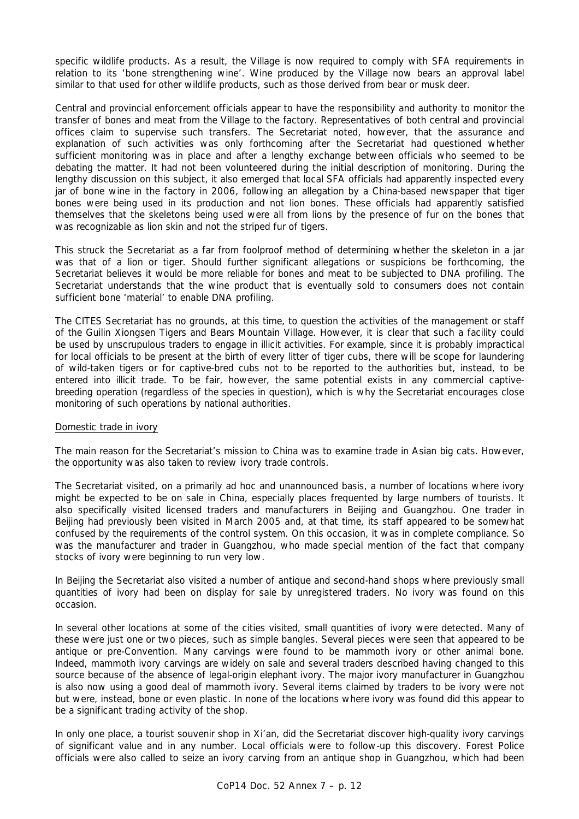specific wildlife products. As a result, the Village is now required to comply with SFA requirements in relation to its 'bone strengthening wine'. Wine produced by the Village now bears an approval label similar to that used for other wildlife products, such as those derived from bear or musk deer.

Central and provincial enforcement officials appear to have the responsibility and authority to monitor the transfer of bones and meat from the Village to the factory. Representatives of both central and provincial offices claim to supervise such transfers. The Secretariat noted, however, that the assurance and explanation of such activities was only forthcoming after the Secretariat had questioned whether sufficient monitoring was in place and after a lengthy exchange between officials who seemed to be debating the matter. It had not been volunteered during the initial description of monitoring. During the lengthy discussion on this subject, it also emerged that local SFA officials had apparently inspected every jar of bone wine in the factory in 2006, following an allegation by a China-based newspaper that tiger bones were being used in its production and not lion bones. These officials had apparently satisfied themselves that the skeletons being used were all from lions by the presence of fur on the bones that was recognizable as lion skin and not the striped fur of tigers.

This struck the Secretariat as a far from foolproof method of determining whether the skeleton in a jar was that of a lion or tiger. Should further significant allegations or suspicions be forthcoming, the Secretariat believes it would be more reliable for bones and meat to be subjected to DNA profiling. The Secretariat understands that the wine product that is eventually sold to consumers does not contain sufficient bone 'material' to enable DNA profiling.

The CITES Secretariat has no grounds, at this time, to question the activities of the management or staff of the Guilin Xiongsen Tigers and Bears Mountain Village. However, it is clear that such a facility could be used by unscrupulous traders to engage in illicit activities. For example, since it is probably impractical for local officials to be present at the birth of every litter of tiger cubs, there will be scope for laundering of wild-taken tigers or for captive-bred cubs not to be reported to the authorities but, instead, to be entered into illicit trade. To be fair, however, the same potential exists in any commercial captivebreeding operation (regardless of the species in question), which is why the Secretariat encourages close monitoring of such operations by national authorities.

### Domestic trade in ivory

The main reason for the Secretariat's mission to China was to examine trade in Asian big cats. However, the opportunity was also taken to review ivory trade controls.

The Secretariat visited, on a primarily *ad hoc* and unannounced basis, a number of locations where ivory might be expected to be on sale in China, especially places frequented by large numbers of tourists. It also specifically visited licensed traders and manufacturers in Beijing and Guangzhou. One trader in Beijing had previously been visited in March 2005 and, at that time, its staff appeared to be somewhat confused by the requirements of the control system. On this occasion, it was in complete compliance. So was the manufacturer and trader in Guangzhou, who made special mention of the fact that company stocks of ivory were beginning to run very low.

In Beijing the Secretariat also visited a number of antique and second-hand shops where previously small quantities of ivory had been on display for sale by unregistered traders. No ivory was found on this occasion.

In several other locations at some of the cities visited, small quantities of ivory were detected. Many of these were just one or two pieces, such as simple bangles. Several pieces were seen that appeared to be antique or pre-Convention. Many carvings were found to be mammoth ivory or other animal bone. Indeed, mammoth ivory carvings are widely on sale and several traders described having changed to this source because of the absence of legal-origin elephant ivory. The major ivory manufacturer in Guangzhou is also now using a good deal of mammoth ivory. Several items claimed by traders to be ivory were not but were, instead, bone or even plastic. In none of the locations where ivory was found did this appear to be a significant trading activity of the shop.

In only one place, a tourist souvenir shop in Xi'an, did the Secretariat discover high-quality ivory carvings of significant value and in any number. Local officials were to follow-up this discovery. Forest Police officials were also called to seize an ivory carving from an antique shop in Guangzhou, which had been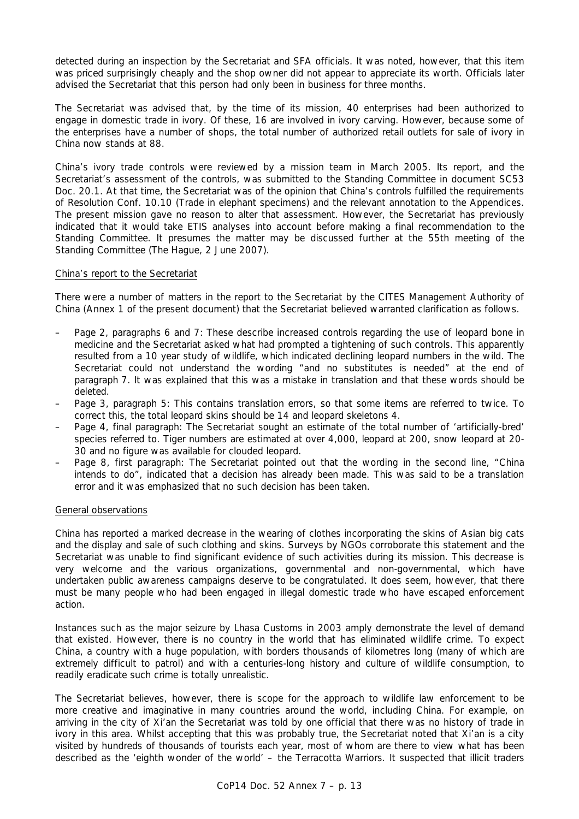detected during an inspection by the Secretariat and SFA officials. It was noted, however, that this item was priced surprisingly cheaply and the shop owner did not appear to appreciate its worth. Officials later advised the Secretariat that this person had only been in business for three months.

The Secretariat was advised that, by the time of its mission, 40 enterprises had been authorized to engage in domestic trade in ivory. Of these, 16 are involved in ivory carving. However, because some of the enterprises have a number of shops, the total number of authorized retail outlets for sale of ivory in China now stands at 88.

China's ivory trade controls were reviewed by a mission team in March 2005. Its report, and the Secretariat's assessment of the controls, was submitted to the Standing Committee in document SC53 Doc. 20.1. At that time, the Secretariat was of the opinion that China's controls fulfilled the requirements of Resolution Conf. 10.10 (Trade in elephant specimens) and the relevant annotation to the Appendices. The present mission gave no reason to alter that assessment. However, the Secretariat has previously indicated that it would take ETIS analyses into account before making a final recommendation to the Standing Committee. It presumes the matter may be discussed further at the 55th meeting of the Standing Committee (The Hague, 2 June 2007).

# China's report to the Secretariat

There were a number of matters in the report to the Secretariat by the CITES Management Authority of China (Annex 1 of the present document) that the Secretariat believed warranted clarification as follows.

- Page 2, paragraphs 6 and 7: These describe increased controls regarding the use of leopard bone in medicine and the Secretariat asked what had prompted a tightening of such controls. This apparently resulted from a 10 year study of wildlife, which indicated declining leopard numbers in the wild. The Secretariat could not understand the wording "and no substitutes is needed" at the end of paragraph 7. It was explained that this was a mistake in translation and that these words should be deleted.
- Page 3, paragraph 5: This contains translation errors, so that some items are referred to twice. To correct this, the total leopard skins should be 14 and leopard skeletons 4.
- Page 4, final paragraph: The Secretariat sought an estimate of the total number of 'artificially-bred' species referred to. Tiger numbers are estimated at over 4,000, leopard at 200, snow leopard at 20- 30 and no figure was available for clouded leopard.
- Page 8, first paragraph: The Secretariat pointed out that the wording in the second line, "China intends to do", indicated that a decision has already been made. This was said to be a translation error and it was emphasized that no such decision has been taken.

### General observations

China has reported a marked decrease in the wearing of clothes incorporating the skins of Asian big cats and the display and sale of such clothing and skins. Surveys by NGOs corroborate this statement and the Secretariat was unable to find significant evidence of such activities during its mission. This decrease is very welcome and the various organizations, governmental and non-governmental, which have undertaken public awareness campaigns deserve to be congratulated. It does seem, however, that there must be many people who had been engaged in illegal domestic trade who have escaped enforcement action.

Instances such as the major seizure by Lhasa Customs in 2003 amply demonstrate the level of demand that existed. However, there is no country in the world that has eliminated wildlife crime. To expect China, a country with a huge population, with borders thousands of kilometres long (many of which are extremely difficult to patrol) and with a centuries-long history and culture of wildlife consumption, to readily eradicate such crime is totally unrealistic.

The Secretariat believes, however, there is scope for the approach to wildlife law enforcement to be more creative and imaginative in many countries around the world, including China. For example, on arriving in the city of Xi'an the Secretariat was told by one official that there was no history of trade in ivory in this area. Whilst accepting that this was probably true, the Secretariat noted that Xi'an is a city visited by hundreds of thousands of tourists each year, most of whom are there to view what has been described as the 'eighth wonder of the world' – the Terracotta Warriors. It suspected that illicit traders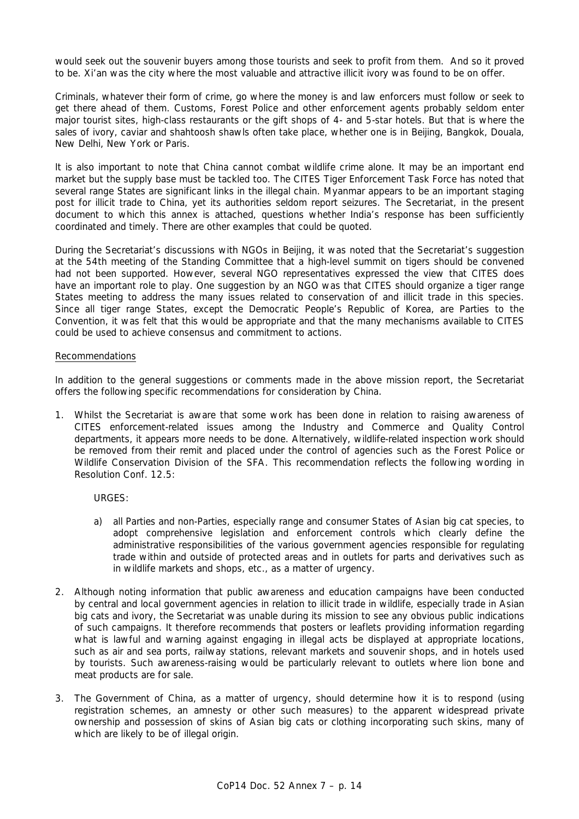would seek out the souvenir buyers among those tourists and seek to profit from them. And so it proved to be. Xi'an was the city where the most valuable and attractive illicit ivory was found to be on offer.

Criminals, whatever their form of crime, go where the money is and law enforcers must follow or seek to get there ahead of them. Customs, Forest Police and other enforcement agents probably seldom enter major tourist sites, high-class restaurants or the gift shops of 4- and 5-star hotels. But that is where the sales of ivory, caviar and shahtoosh shawls often take place, whether one is in Beijing, Bangkok, Douala, New Delhi, New York or Paris.

It is also important to note that China cannot combat wildlife crime alone. It may be an important end market but the supply base must be tackled too. The CITES Tiger Enforcement Task Force has noted that several range States are significant links in the illegal chain. Myanmar appears to be an important staging post for illicit trade to China, yet its authorities seldom report seizures. The Secretariat, in the present document to which this annex is attached, questions whether India's response has been sufficiently coordinated and timely. There are other examples that could be quoted.

During the Secretariat's discussions with NGOs in Beijing, it was noted that the Secretariat's suggestion at the 54th meeting of the Standing Committee that a high-level summit on tigers should be convened had not been supported. However, several NGO representatives expressed the view that CITES does have an important role to play. One suggestion by an NGO was that CITES should organize a tiger range States meeting to address the many issues related to conservation of and illicit trade in this species. Since all tiger range States, except the Democratic People's Republic of Korea, are Parties to the Convention, it was felt that this would be appropriate and that the many mechanisms available to CITES could be used to achieve consensus and commitment to actions.

# Recommendations

In addition to the general suggestions or comments made in the above mission report, the Secretariat offers the following specific recommendations for consideration by China.

1. Whilst the Secretariat is aware that some work has been done in relation to raising awareness of CITES enforcement-related issues among the Industry and Commerce and Quality Control departments, it appears more needs to be done. Alternatively, wildlife-related inspection work should be removed from their remit and placed under the control of agencies such as the Forest Police or Wildlife Conservation Division of the SFA. This recommendation reflects the following wording in Resolution Conf. 12.5:

# *URGES:*

- *a) all Parties and non-Parties, especially range and consumer States of Asian big cat species, to adopt comprehensive legislation and enforcement controls which clearly define the administrative responsibilities of the various government agencies responsible for regulating trade within and outside of protected areas and in outlets for parts and derivatives such as in wildlife markets and shops, etc., as a matter of urgency.*
- 2. Although noting information that public awareness and education campaigns have been conducted by central and local government agencies in relation to illicit trade in wildlife, especially trade in Asian big cats and ivory, the Secretariat was unable during its mission to see any obvious public indications of such campaigns. It therefore recommends that posters or leaflets providing information regarding what is lawful and warning against engaging in illegal acts be displayed at appropriate locations, such as air and sea ports, railway stations, relevant markets and souvenir shops, and in hotels used by tourists. Such awareness-raising would be particularly relevant to outlets where lion bone and meat products are for sale.
- 3. The Government of China, as a matter of urgency, should determine how it is to respond (using registration schemes, an amnesty or other such measures) to the apparent widespread private ownership and possession of skins of Asian big cats or clothing incorporating such skins, many of which are likely to be of illegal origin.